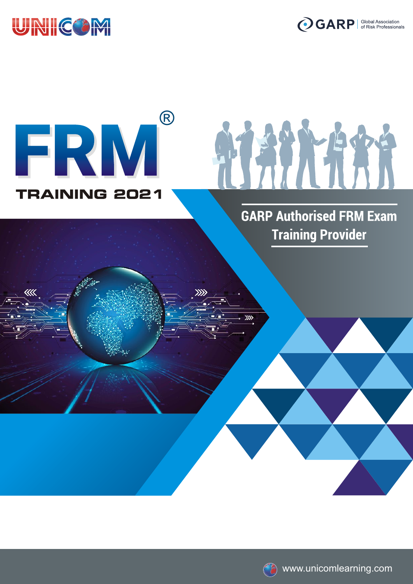

 $\overline{\ll}$ 

**OGARP** | Global Association

# FRM® **TACHE TRAINING 2021**

w

## **GARP Authorised FRM Exam Training Provider**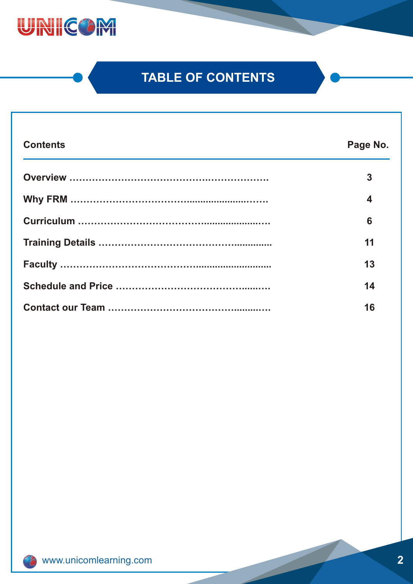

### **TABLE OF CONTENTS**

| <b>Contents</b> | Page No.                |
|-----------------|-------------------------|
|                 | 3                       |
|                 | $\overline{\mathbf{4}}$ |
|                 | 6                       |
|                 | 11                      |
|                 | 13                      |
|                 | 14                      |
|                 | 16                      |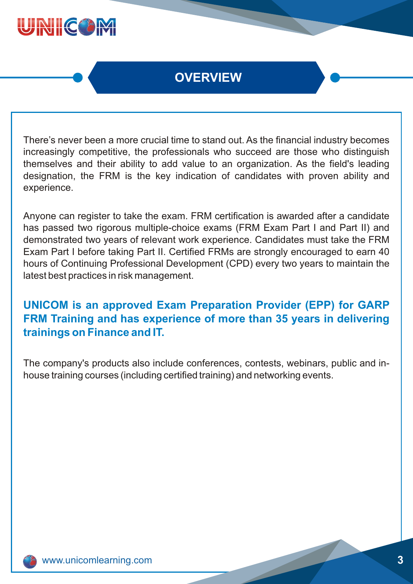

### **OVERVIEW**

There's never been a more crucial time to stand out. As the financial industry becomes increasingly competitive, the professionals who succeed are those who distinguish themselves and their ability to add value to an organization. As the field's leading designation, the FRM is the key indication of candidates with proven ability and experience.

Anyone can register to take the exam. FRM certification is awarded after a candidate has passed two rigorous multiple-choice exams (FRM Exam Part I and Part II) and demonstrated two years of relevant work experience. Candidates must take the FRM Exam Part I before taking Part II. Certified FRMs are strongly encouraged to earn 40 hours of Continuing Professional Development (CPD) every two years to maintain the latest best practices in risk management.

### **UNICOM is an approved Exam Preparation Provider (EPP) for GARP FRM Training and has experience of more than 35 years in delivering trainings on Finance and IT.**

The company's products also include conferences, contests, webinars, public and inhouse training courses (including certified training) and networking events.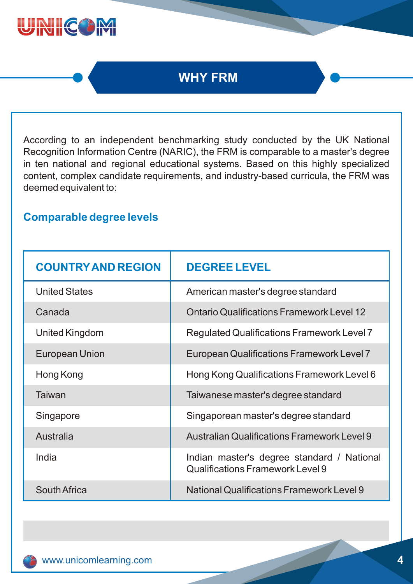

### **WHY FRM**

According to an independent benchmarking study conducted by the UK National Recognition Information Centre (NARIC), the FRM is comparable to a master's degree in ten national and regional educational systems. Based on this highly specialized content, complex candidate requirements, and industry-based curricula, the FRM was deemed equivalent to:

### **Comparable degree levels**

| <b>COUNTRY AND REGION</b> | <b>DEGREE LEVEL</b>                                                                   |
|---------------------------|---------------------------------------------------------------------------------------|
| <b>United States</b>      | American master's degree standard                                                     |
| Canada                    | <b>Ontario Qualifications Framework Level 12</b>                                      |
| United Kingdom            | Regulated Qualifications Framework Level 7                                            |
| <b>European Union</b>     | <b>European Qualifications Framework Level 7</b>                                      |
| Hong Kong                 | Hong Kong Qualifications Framework Level 6                                            |
| Taiwan                    | Taiwanese master's degree standard                                                    |
| Singapore                 | Singaporean master's degree standard                                                  |
| Australia                 | <b>Australian Qualifications Framework Level 9</b>                                    |
| India                     | Indian master's degree standard / National<br><b>Qualifications Framework Level 9</b> |
| South Africa              | <b>National Qualifications Framework Level 9</b>                                      |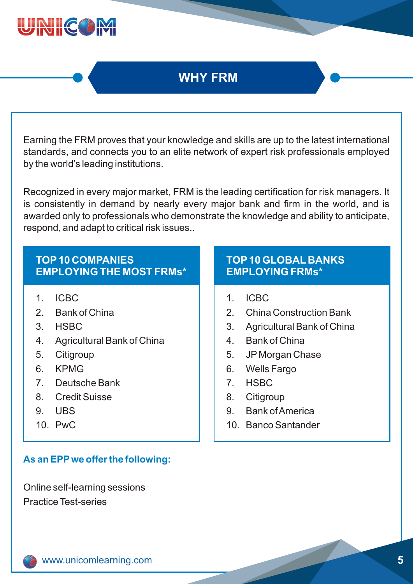

### **WHY FRM**

Earning the FRM proves that your knowledge and skills are up to the latest international standards, and connects you to an elite network of expert risk professionals employed by the world's leading institutions.

Recognized in every major market, FRM is the leading certification for risk managers. It is consistently in demand by nearly every major bank and firm in the world, and is awarded only to professionals who demonstrate the knowledge and ability to anticipate, respond, and adapt to critical risk issues..

### **TOP10 COMPANIES EMPLOYING THE MOST FRMs\***

- 1. ICBC
- 2. Bank of China
- 3. HSBC
- 4. Agricultural Bank of China
- 5. Citigroup
- 6. KPMG
- 7. Deutsche Bank
- 8. Credit Suisse
- 9. UBS
- 10. PwC

### **As an EPPwe offer the following:**

Online self-learning sessions Practice Test-series

### **TOP10 GLOBAL BANKS EMPLOYING FRMs\***

- 1. ICBC
- 2. China Construction Bank
- 3. Agricultural Bank of China
- 4. Bank of China
- 5. JP Morgan Chase
- 6. Wells Fargo
- 7. HSBC
- 8. Citigroup
- 9. Bank of America
- 10. Banco Santander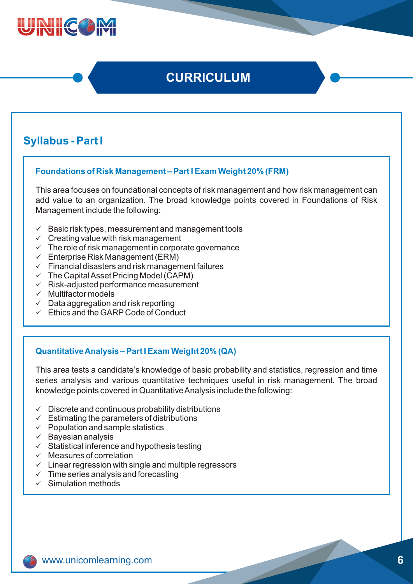

### **Syllabus - Part I**

#### **Foundations of Risk Management – Part I Exam Weight 20% (FRM)**

This area focuses on foundational concepts of risk management and how risk management can add value to an organization. The broad knowledge points covered in Foundations of Risk Management include the following:

- $\checkmark$  Basic risk types, measurement and management tools
- $\checkmark$  Creating value with risk management
- $\checkmark$  The role of risk management in corporate governance
- $\checkmark$  Enterprise Risk Management (ERM)
- $\checkmark$  Financial disasters and risk management failures
- $\checkmark$  The Capital Asset Pricing Model (CAPM)
- $\checkmark$  Risk-adjusted performance measurement
- $\checkmark$  Multifactor models
- $\checkmark$  Data aggregation and risk reporting
- $\checkmark$  Ethics and the GARP Code of Conduct

#### **Quantitative Analysis – Part I Exam Weight 20% (QA)**

This area tests a candidate's knowledge of basic probability and statistics, regression and time series analysis and various quantitative techniques useful in risk management. The broad knowledge points covered in Quantitative Analysis include the following:

- $\checkmark$  Discrete and continuous probability distributions
- $\checkmark$  Estimating the parameters of distributions
- $\checkmark$  Population and sample statistics
- $\checkmark$  Bayesian analysis
- $\checkmark$  Statistical inference and hypothesis testing
- $\checkmark$  Measures of correlation
- $\checkmark$  Linear regression with single and multiple regressors
- $\checkmark$  Time series analysis and forecasting
- $\checkmark$  Simulation methods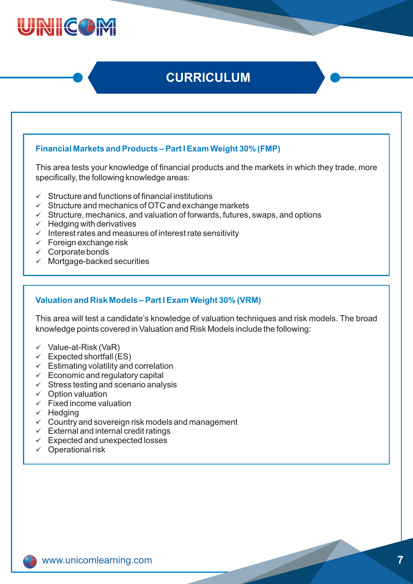

#### **Financial Markets and Products – Part I Exam Weight 30% (FMP)**

This area tests your knowledge of financial products and the markets in which they trade, more specifically, the following knowledge areas:

- Structure and functions of financial institutions
- $\checkmark$  Structure and mechanics of OTC and exchange markets
- $\checkmark$  Structure, mechanics, and valuation of forwards, futures, swaps, and options
- $\checkmark$  Hedging with derivatives
- $\checkmark$  Interest rates and measures of interest rate sensitivity
- $\checkmark$  Foreign exchange risk
- $\checkmark$  Corporate bonds
- $\checkmark$  Mortgage-backed securities

#### **Valuation and Risk Models – Part I Exam Weight 30% (VRM)**

This area will test a candidate's knowledge of valuation techniques and risk models. The broad knowledge points covered in Valuation and Risk Models include the following:

- $\checkmark$  Value-at-Risk (VaR)
- $\checkmark$  Expected shortfall (ES)
- $\checkmark$  Estimating volatility and correlation
- $\checkmark$  Economic and regulatory capital
- $\checkmark$  Stress testing and scenario analysis
- $\checkmark$  Option valuation
- $\checkmark$  Fixed income valuation
- ✓ Hedging
- $\checkmark$  Country and sovereign risk models and management
- $\checkmark$  External and internal credit ratings
- $\checkmark$  Expected and unexpected losses
- $\checkmark$  Operational risk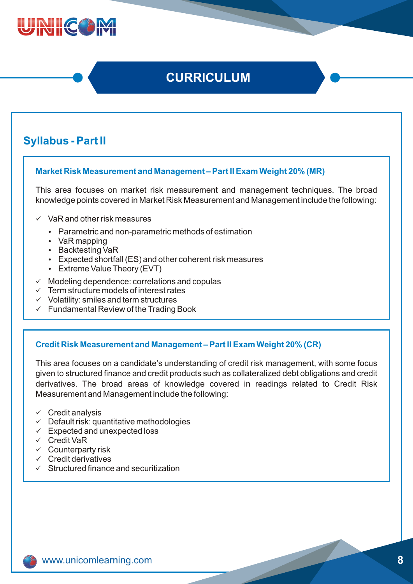

### **Syllabus - Part II**

#### **Market Risk Measurement and Management – Part II Exam Weight 20% (MR)**

This area focuses on market risk measurement and management techniques. The broad knowledge points covered in Market Risk Measurement and Management include the following:

- $\checkmark$  VaR and other risk measures
	- Parametric and non-parametric methods of estimation<br>• VaR mapping
	-
	- $\cdot$  Backtesting VaR
	- Backtesting VaR<br>• Expected shortfa • Expected shortfall (ES) and other coherent risk measures<br>• Extreme Value Theory (EVT)
	- Extreme Value Theory (EVT)
- $\checkmark$  Modeling dependence: correlations and copulas
- $\checkmark$  Term structure models of interest rates
- $\checkmark$  Volatility: smiles and term structures
- $\checkmark$  Fundamental Review of the Trading Book

#### **Credit Risk Measurement and Management – Part II Exam Weight 20% (CR)**

This area focuses on a candidate's understanding of credit risk management, with some focus given to structured finance and credit products such as collateralized debt obligations and credit derivatives. The broad areas of knowledge covered in readings related to Credit Risk Measurement and Management include the following:

- $\checkmark$  Credit analysis
- $\checkmark$  Default risk: quantitative methodologies
- $\checkmark$  Expected and unexpected loss
- ü Credit VaR
- $\checkmark$  Counterparty risk
- $\checkmark$  Credit derivatives
- $\checkmark$  Structured finance and securitization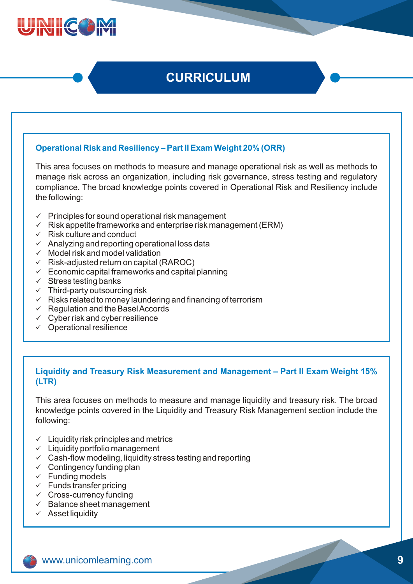

#### **Operational Risk and Resiliency – Part II Exam Weight 20% (ORR)**

This area focuses on methods to measure and manage operational risk as well as methods to manage risk across an organization, including risk governance, stress testing and regulatory compliance. The broad knowledge points covered in Operational Risk and Resiliency include the following:

- $\checkmark$  Principles for sound operational risk management
- $\checkmark$  Risk appetite frameworks and enterprise risk management (ERM)
- $\checkmark$  Risk culture and conduct
- $\checkmark$  Analyzing and reporting operational loss data
- $\checkmark$  Model risk and model validation
- $\checkmark$  Risk-adjusted return on capital (RAROC)
- $\checkmark$  Economic capital frameworks and capital planning
- $\checkmark$  Stress testing banks
- $\checkmark$  Third-party outsourcing risk
- $\checkmark$  Risks related to money laundering and financing of terrorism
- $\checkmark$  Regulation and the Basel Accords
- $\checkmark$  Cyber risk and cyber resilience
- $\checkmark$  Operational resilience

#### **Liquidity and Treasury Risk Measurement and Management – Part II Exam Weight 15% (LTR)**

This area focuses on methods to measure and manage liquidity and treasury risk. The broad knowledge points covered in the Liquidity and Treasury Risk Management section include the following:

- $\checkmark$  Liquidity risk principles and metrics
- $\checkmark$  Liquidity portfolio management
- $\checkmark$  Cash-flow modeling, liquidity stress testing and reporting
- $\checkmark$  Contingency funding plan
- $\checkmark$  Funding models
- $\checkmark$  Funds transfer pricing
- $\checkmark$  Cross-currency funding
- $\checkmark$  Balance sheet management
- $\checkmark$  Asset liquidity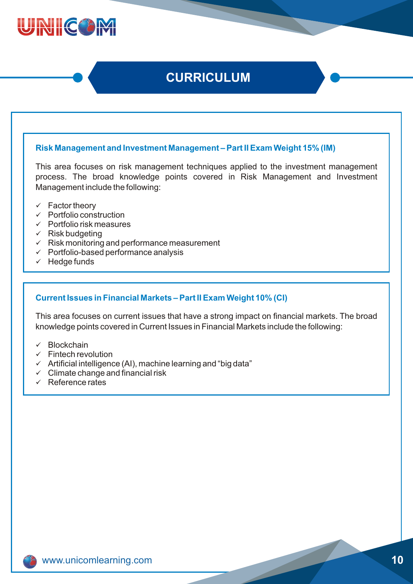

#### **Risk Management and Investment Management – Part II Exam Weight 15% (IM)**

This area focuses on risk management techniques applied to the investment management process. The broad knowledge points covered in Risk Management and Investment Management include the following:

- $\checkmark$  Factor theory
- $\checkmark$  Portfolio construction
- $\checkmark$  Portfolio risk measures
- $\checkmark$  Risk budgeting
- $\checkmark$  Risk monitoring and performance measurement
- $\checkmark$  Portfolio-based performance analysis
- $\checkmark$  Hedge funds

#### **Current Issues in Financial Markets – Part II Exam Weight 10% (CI)**

This area focuses on current issues that have a strong impact on financial markets. The broad knowledge points covered in Current Issues in Financial Markets include the following:

- ü Blockchain
- $\checkmark$  Fintech revolution
- $\checkmark$  Artificial intelligence (AI), machine learning and "big data"
- $\checkmark$  Climate change and financial risk
- $\checkmark$  Reference rates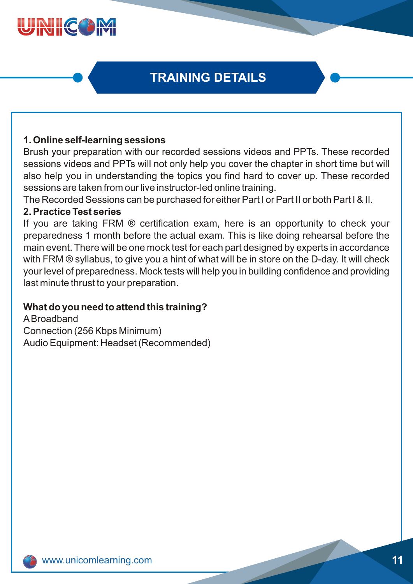

### **TRAINING DETAILS**

#### **1. Online self-learning sessions**

Brush your preparation with our recorded sessions videos and PPTs. These recorded sessions videos and PPTs will not only help you cover the chapter in short time but will also help you in understanding the topics you find hard to cover up. These recorded sessions are taken from our live instructor-led online training.

The Recorded Sessions can be purchased for either Part I or Part II or both Part I & II.

#### **2. Practice Test series**

If you are taking FRM ® certification exam, here is an opportunity to check your preparedness 1 month before the actual exam. This is like doing rehearsal before the main event. There will be one mock test for each part designed by experts in accordance with FRM ® syllabus, to give you a hint of what will be in store on the D-day. It will check your level of preparedness. Mock tests will help you in building confidence and providing last minute thrust to your preparation.

#### **What do you need to attend this training?**

ABroadband Connection (256 Kbps Minimum) Audio Equipment: Headset (Recommended)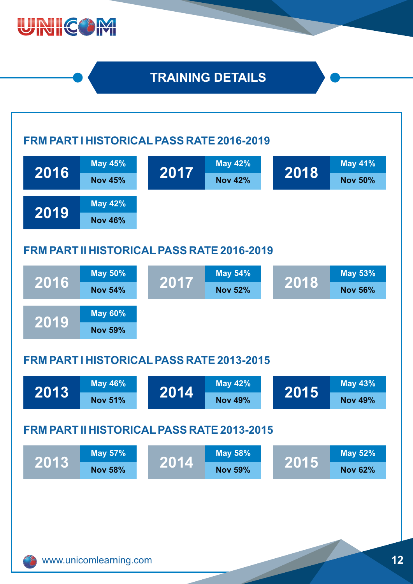

### **TRAINING DETAILS**

| 2016                                       | <b>May 45%</b>                             | 2017 | <b>May 42%</b> | 2018 | <b>May 41%</b> |
|--------------------------------------------|--------------------------------------------|------|----------------|------|----------------|
|                                            | <b>Nov 45%</b>                             |      | <b>Nov 42%</b> |      | <b>Nov 50%</b> |
| 2019                                       | <b>May 42%</b>                             |      |                |      |                |
|                                            | <b>Nov 46%</b>                             |      |                |      |                |
|                                            | FRM PART II HISTORICAL PASS RATE 2016-2019 |      |                |      |                |
|                                            |                                            |      |                |      |                |
| 2016                                       | <b>May 50%</b>                             | 2017 | <b>May 54%</b> | 2018 | <b>May 53%</b> |
|                                            | <b>Nov 54%</b>                             |      | <b>Nov 52%</b> |      | <b>Nov 56%</b> |
|                                            | <b>May 60%</b>                             |      |                |      |                |
| 2019                                       | <b>Nov 59%</b>                             |      |                |      |                |
|                                            |                                            |      |                |      |                |
| FRM PART I HISTORICAL PASS RATE 2013-2015  |                                            |      |                |      |                |
| 2013                                       | <b>May 46%</b>                             | 2014 | <b>May 42%</b> |      | <b>May 43%</b> |
|                                            | <b>Nov 51%</b>                             |      | <b>Nov 49%</b> | 2015 | <b>Nov 49%</b> |
|                                            |                                            |      |                |      |                |
| FRM PART II HISTORICAL PASS RATE 2013-2015 |                                            |      |                |      |                |
| 2013                                       | <b>May 57%</b>                             |      | <b>May 58%</b> |      | <b>May 52%</b> |
|                                            | <b>Nov 58%</b>                             | 2014 | <b>Nov 59%</b> | 2015 | <b>Nov 62%</b> |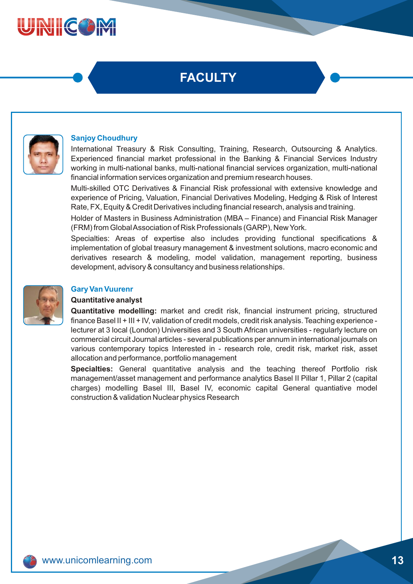

### **FACULTY**



#### **Sanjoy Choudhury**

International Treasury & Risk Consulting, Training, Research, Outsourcing & Analytics. Experienced financial market professional in the Banking & Financial Services Industry working in multi-national banks, multi-national financial services organization, multi-national financial information services organization and premium research houses.

Multi-skilled OTC Derivatives & Financial Risk professional with extensive knowledge and experience of Pricing, Valuation, Financial Derivatives Modeling, Hedging & Risk of Interest Rate, FX, Equity & Credit Derivatives including financial research, analysis and training.

Holder of Masters in Business Administration (MBA – Finance) and Financial Risk Manager (FRM) from Global Association of Risk Professionals (GARP), New York.

Specialties: Areas of expertise also includes providing functional specifications & implementation of global treasury management & investment solutions, macro economic and derivatives research & modeling, model validation, management reporting, business development, advisory & consultancy and business relationships.



#### **Gary Van Vuurenr**

#### **Quantitative analyst**

**Quantitative modelling:** market and credit risk, financial instrument pricing, structured finance Basel II + III + IV, validation of credit models, credit risk analysis. Teaching experience lecturer at 3 local (London) Universities and 3 South African universities - regularly lecture on commercial circuit Journal articles - several publications per annum in international journals on various contemporary topics Interested in - research role, credit risk, market risk, asset allocation and performance, portfolio management

**Specialties:** General quantitative analysis and the teaching thereof Portfolio risk management/asset management and performance analytics Basel II Pillar 1, Pillar 2 (capital charges) modelling Basel III, Basel IV, economic capital General quantiative model construction & validation Nuclear physics Research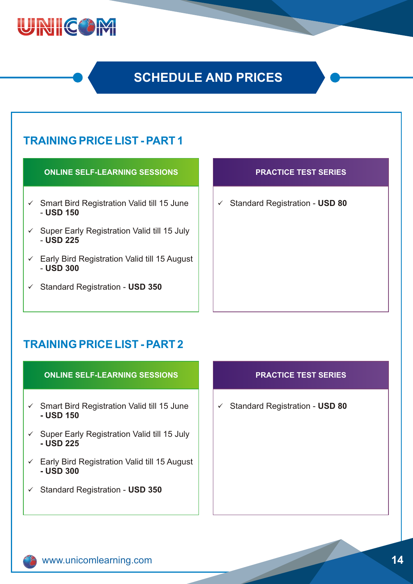

### **SCHEDULE AND PRICES**

### **TRAINING PRICE LIST - PART 1**

#### **ONLINE SELF-LEARNING SESSIONS**

- $\checkmark$  Smart Bird Registration Valid till 15 June - **USD 150**
- $\checkmark$  Super Early Registration Valid till 15 July - **USD 225**
- $\checkmark$  Early Bird Registration Valid till 15 August - **USD 300**
- üStandard Registration **USD 350**

#### **PRACTICE TEST SERIES**

üStandard Registration - **USD 80**

### **TRAINING PRICE LIST - PART 2**

|  | <b>ONLINE SELF-LEARNING SESSIONS</b> |  |
|--|--------------------------------------|--|
|  |                                      |  |

- $\checkmark$  Smart Bird Registration Valid till 15 June **- USD 150**
- $\checkmark$  Super Early Registration Valid till 15 July **- USD 225**
- $\checkmark$  Early Bird Registration Valid till 15 August **- USD 300**
- üStandard Registration **USD 350**

#### **PRACTICE TEST SERIES**

üStandard Registration - **USD 80**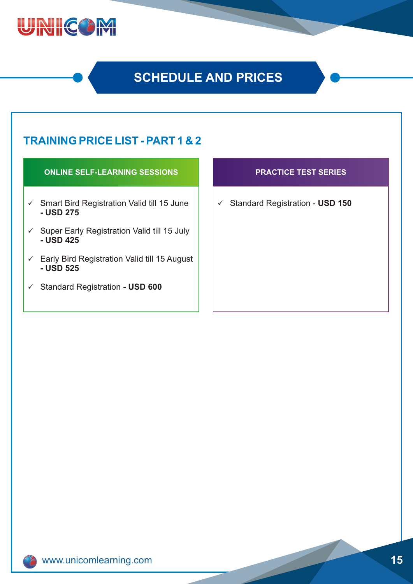

### **SCHEDULE AND PRICES**

### **TRAINING PRICE LIST - PART 1 & 2**

#### **ONLINE SELF-LEARNING SESSIONS PRACTICE TEST SERIES**

- $\checkmark$  Smart Bird Registration Valid till 15 June **- USD 275**
- $\checkmark$  Super Early Registration Valid till 15 July **- USD 425**
- $\checkmark$  Early Bird Registration Valid till 15 August **- USD 525**
- üStandard Registration  **USD 600**

üStandard Registration - **USD 150**